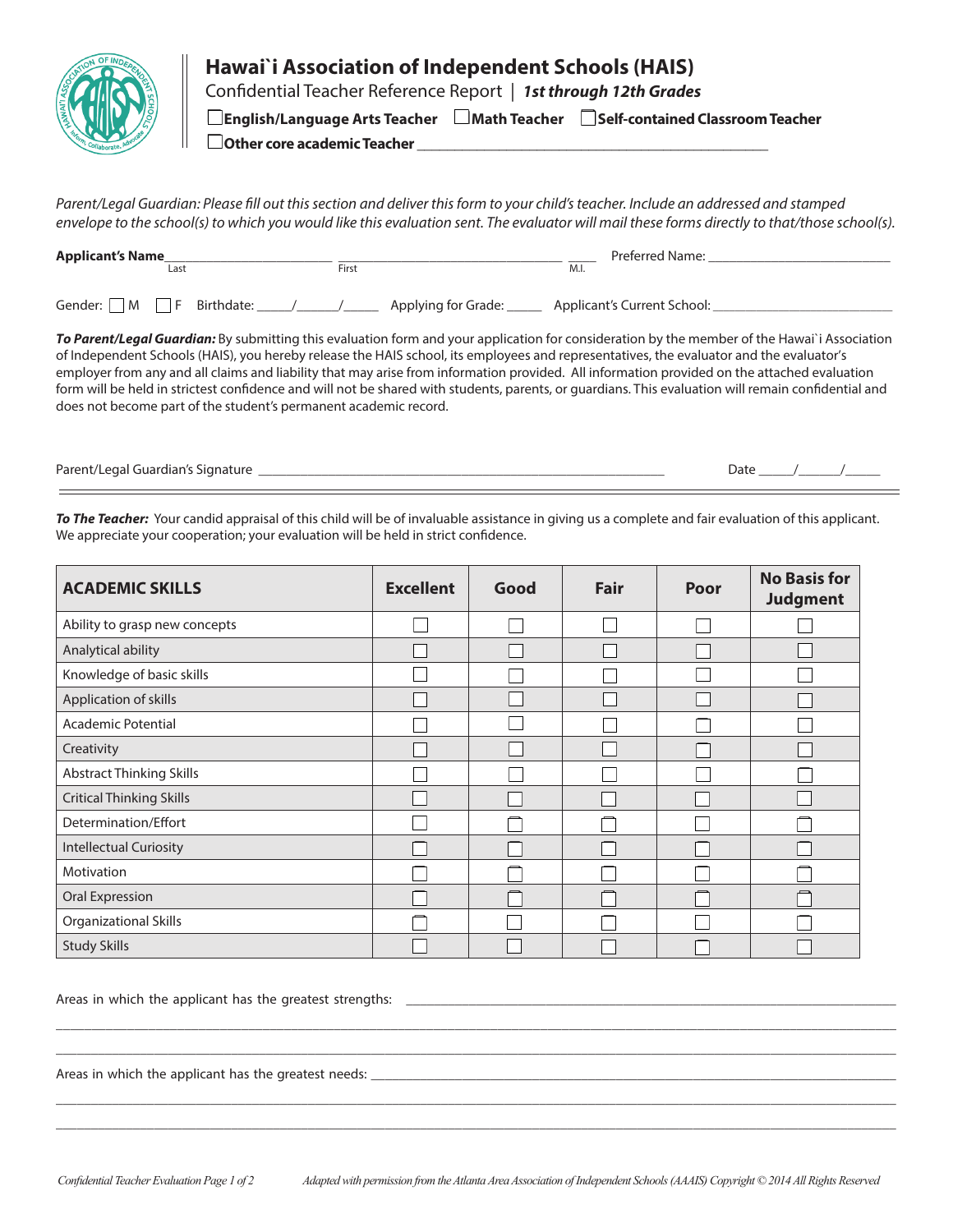

Confidential Teacher Reference Report | *1st through 12th Grades*

q**English/Language Arts Teacher** q**Math Teacher** q**Self-contained Classroom Teacher**

□ Other core academic Teacher **Department** 

*Parent/Legal Guardian: Please fill out this section and deliver this form to your child's teacher. Include an addressed and stamped envelope to the school(s) to which you would like this evaluation sent. The evaluator will mail these forms directly to that/those school(s).*

| <b>Applicant's Name</b>              | Last |  | First |                     | M.I. | Preferred Name:             |
|--------------------------------------|------|--|-------|---------------------|------|-----------------------------|
| Gender: $\Box$ M $\Box$ F Birthdate: |      |  |       | Applying for Grade: |      | Applicant's Current School: |

*To Parent/Legal Guardian:* By submitting this evaluation form and your application for consideration by the member of the Hawai`i Association of Independent Schools (HAIS), you hereby release the HAIS school, its employees and representatives, the evaluator and the evaluator's employer from any and all claims and liability that may arise from information provided. All information provided on the attached evaluation form will be held in strictest confidence and will not be shared with students, parents, or guardians. This evaluation will remain confidential and does not become part of the student's permanent academic record.

Parent/Legal Guardian's Signature \_\_\_\_\_\_\_\_\_\_\_\_\_\_\_\_\_\_\_\_\_\_\_\_\_\_\_\_\_\_\_\_\_\_\_\_\_\_\_\_\_\_\_\_\_\_\_\_\_\_\_\_\_\_\_\_\_\_ Date \_\_\_\_\_/\_\_\_\_\_\_/\_\_\_\_\_

*To The Teacher:* Your candid appraisal of this child will be of invaluable assistance in giving us a complete and fair evaluation of this applicant. We appreciate your cooperation; your evaluation will be held in strict confidence.

| <b>ACADEMIC SKILLS</b>          | <b>Excellent</b> | Good | <b>Fair</b> | <b>Poor</b> | <b>No Basis for</b><br><b>Judgment</b> |
|---------------------------------|------------------|------|-------------|-------------|----------------------------------------|
| Ability to grasp new concepts   |                  |      |             |             |                                        |
| Analytical ability              |                  |      |             |             |                                        |
| Knowledge of basic skills       |                  |      |             |             |                                        |
| Application of skills           |                  |      |             |             |                                        |
| <b>Academic Potential</b>       |                  |      |             |             |                                        |
| Creativity                      |                  |      |             |             |                                        |
| <b>Abstract Thinking Skills</b> |                  |      |             |             |                                        |
| <b>Critical Thinking Skills</b> |                  |      |             |             |                                        |
| Determination/Effort            |                  |      |             |             |                                        |
| <b>Intellectual Curiosity</b>   |                  |      |             |             |                                        |
| Motivation                      |                  |      |             |             |                                        |
| Oral Expression                 |                  |      |             |             |                                        |
| <b>Organizational Skills</b>    |                  |      |             |             |                                        |
| <b>Study Skills</b>             |                  |      |             |             |                                        |

Areas in which the applicant has the greatest strengths: \_\_\_\_\_\_\_\_\_\_\_\_\_\_\_\_\_\_\_\_\_\_\_

Areas in which the applicant has the greatest needs: \_\_\_\_\_\_\_\_\_\_\_\_\_\_\_\_\_\_\_\_\_\_\_\_\_\_\_

\_\_\_\_\_\_\_\_\_\_\_\_\_\_\_\_\_\_\_\_\_\_\_\_\_\_\_\_\_\_\_\_\_\_\_\_\_\_\_\_\_\_\_\_\_\_\_\_\_\_\_\_\_\_\_\_\_\_\_\_\_\_\_\_\_\_\_\_\_\_\_\_\_\_\_\_\_\_\_\_\_\_\_\_\_\_\_\_\_\_\_\_\_\_\_\_\_\_\_\_\_\_\_\_\_\_\_\_\_\_\_\_\_\_\_\_\_\_ \_\_\_\_\_\_\_\_\_\_\_\_\_\_\_\_\_\_\_\_\_\_\_\_\_\_\_\_\_\_\_\_\_\_\_\_\_\_\_\_\_\_\_\_\_\_\_\_\_\_\_\_\_\_\_\_\_\_\_\_\_\_\_\_\_\_\_\_\_\_\_\_\_\_\_\_\_\_\_\_\_\_\_\_\_\_\_\_\_\_\_\_\_\_\_\_\_\_\_\_\_\_\_\_\_\_\_\_\_\_\_\_\_\_\_\_\_\_\_\_

\_\_\_\_\_\_\_\_\_\_\_\_\_\_\_\_\_\_\_\_\_\_\_\_\_\_\_\_\_\_\_\_\_\_\_\_\_\_\_\_\_\_\_\_\_\_\_\_\_\_\_\_\_\_\_\_\_\_\_\_\_\_\_\_\_\_\_\_\_\_\_\_\_\_\_\_\_\_\_\_\_\_\_\_\_\_\_\_\_\_\_\_\_\_\_\_\_\_\_\_\_\_\_\_\_\_\_\_\_\_\_\_\_\_\_\_\_\_\_\_ \_\_\_\_\_\_\_\_\_\_\_\_\_\_\_\_\_\_\_\_\_\_\_\_\_\_\_\_\_\_\_\_\_\_\_\_\_\_\_\_\_\_\_\_\_\_\_\_\_\_\_\_\_\_\_\_\_\_\_\_\_\_\_\_\_\_\_\_\_\_\_\_\_\_\_\_\_\_\_\_\_\_\_\_\_\_\_\_\_\_\_\_\_\_\_\_\_\_\_\_\_\_\_\_\_\_\_\_\_\_\_\_\_\_\_\_\_\_\_\_